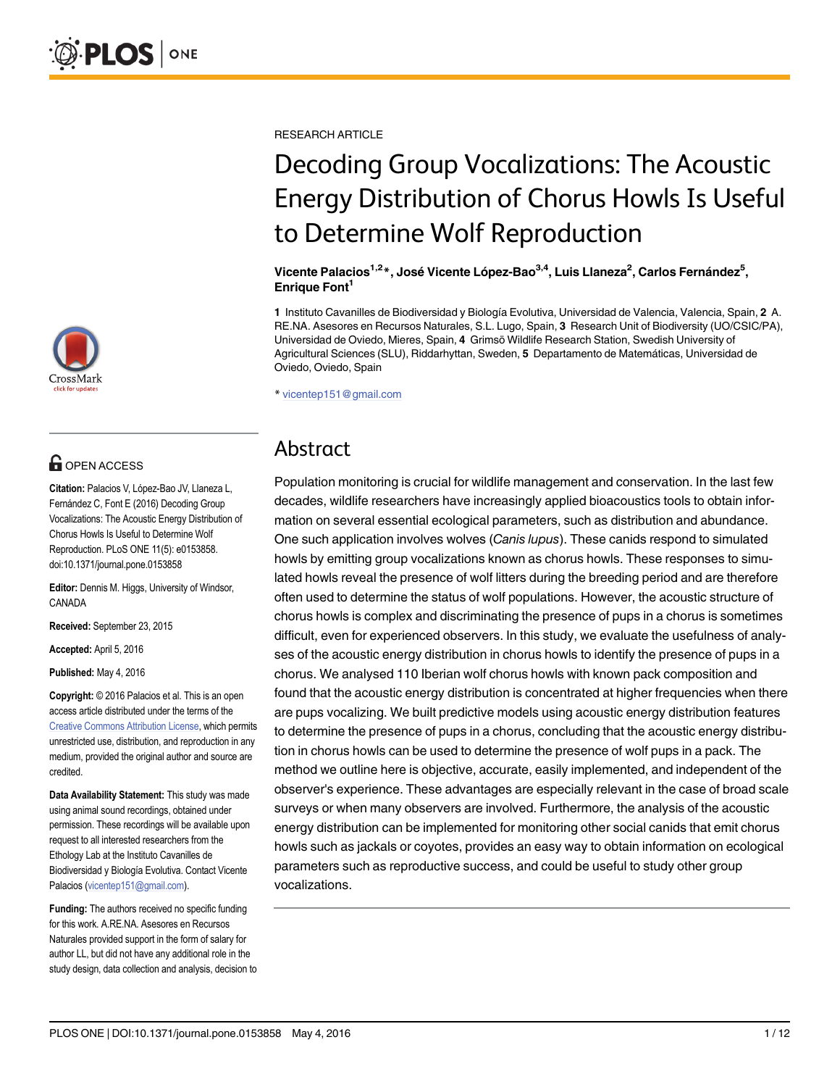

## **G** OPEN ACCESS

Citation: Palacios V, López-Bao JV, Llaneza L, Fernández C, Font E (2016) Decoding Group Vocalizations: The Acoustic Energy Distribution of Chorus Howls Is Useful to Determine Wolf Reproduction. PLoS ONE 11(5): e0153858. doi:10.1371/journal.pone.0153858

Editor: Dennis M. Higgs, University of Windsor, CANADA

Received: September 23, 2015

Accepted: April 5, 2016

Published: May 4, 2016

Copyright: © 2016 Palacios et al. This is an open access article distributed under the terms of the [Creative Commons Attribution License,](http://creativecommons.org/licenses/by/4.0/) which permits unrestricted use, distribution, and reproduction in any medium, provided the original author and source are credited.

Data Availability Statement: This study was made using animal sound recordings, obtained under permission. These recordings will be available upon request to all interested researchers from the Ethology Lab at the Instituto Cavanilles de Biodiversidad y Biología Evolutiva. Contact Vicente Palacios (vicentep151@gmail.com).

Funding: The authors received no specific funding for this work. A.RE.NA. Asesores en Recursos Naturales provided support in the form of salary for author LL, but did not have any additional role in the study design, data collection and analysis, decision to RESEARCH ARTICLE

## Decoding Group Vocalizations: The Acoustic Energy Distribution of Chorus Howls Is Useful to Determine Wolf Reproduction

Vicente Palacios<sup>1,2</sup>\*, José Vicente López-Bao<sup>3,4</sup>, Luis Llaneza<sup>2</sup>, Carlos Fernández<sup>5</sup>, Enrique Font<sup>1</sup>

1 Instituto Cavanilles de Biodiversidad y Biología Evolutiva, Universidad de Valencia, Valencia, Spain, 2 A. RE.NA. Asesores en Recursos Naturales, S.L. Lugo, Spain, 3 Research Unit of Biodiversity (UO/CSIC/PA), Universidad de Oviedo, Mieres, Spain, 4 Grimsö Wildlife Research Station, Swedish University of Agricultural Sciences (SLU), Riddarhyttan, Sweden, 5 Departamento de Matemáticas, Universidad de Oviedo, Oviedo, Spain

\* vicentep151@gmail.com

### Abstract

Population monitoring is crucial for wildlife management and conservation. In the last few decades, wildlife researchers have increasingly applied bioacoustics tools to obtain information on several essential ecological parameters, such as distribution and abundance. One such application involves wolves (Canis lupus). These canids respond to simulated howls by emitting group vocalizations known as chorus howls. These responses to simulated howls reveal the presence of wolf litters during the breeding period and are therefore often used to determine the status of wolf populations. However, the acoustic structure of chorus howls is complex and discriminating the presence of pups in a chorus is sometimes difficult, even for experienced observers. In this study, we evaluate the usefulness of analyses of the acoustic energy distribution in chorus howls to identify the presence of pups in a chorus. We analysed 110 Iberian wolf chorus howls with known pack composition and found that the acoustic energy distribution is concentrated at higher frequencies when there are pups vocalizing. We built predictive models using acoustic energy distribution features to determine the presence of pups in a chorus, concluding that the acoustic energy distribution in chorus howls can be used to determine the presence of wolf pups in a pack. The method we outline here is objective, accurate, easily implemented, and independent of the observer's experience. These advantages are especially relevant in the case of broad scale surveys or when many observers are involved. Furthermore, the analysis of the acoustic energy distribution can be implemented for monitoring other social canids that emit chorus howls such as jackals or coyotes, provides an easy way to obtain information on ecological parameters such as reproductive success, and could be useful to study other group vocalizations.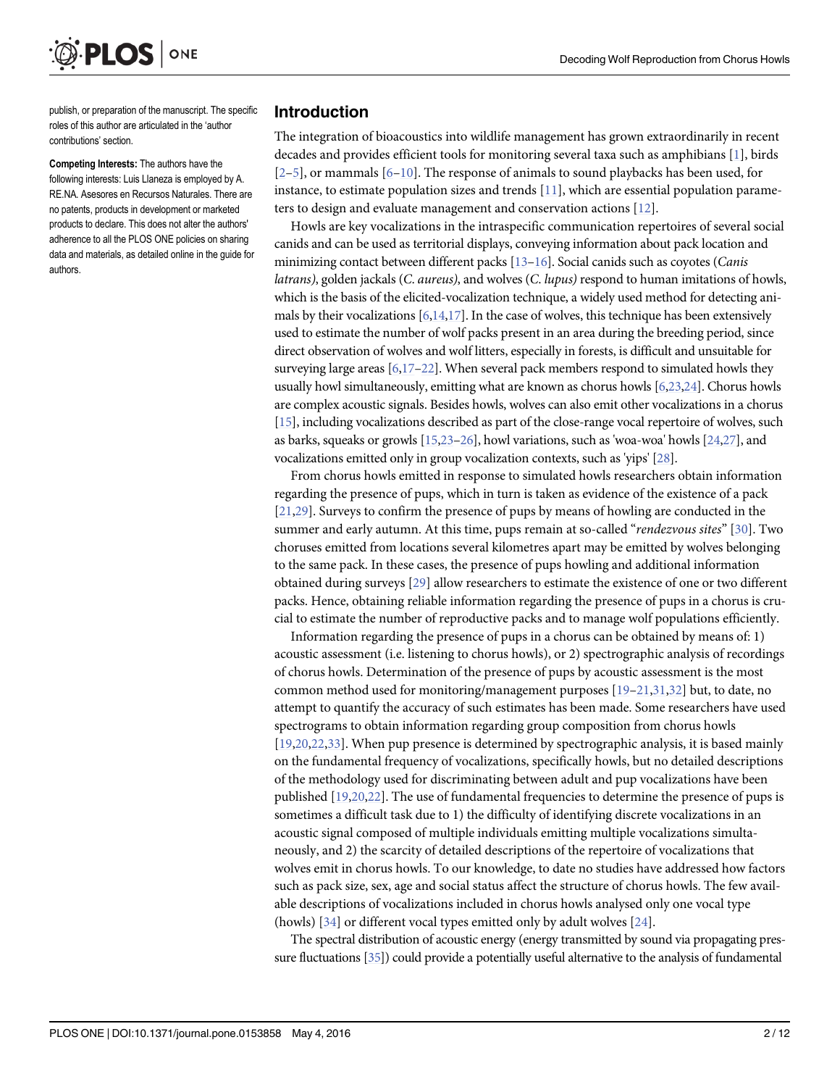<span id="page-1-0"></span>

publish, or preparation of the manuscript. The specific roles of this author are articulated in the 'author contributions' section.

Competing Interests: The authors have the following interests: Luis Llaneza is employed by A. RE.NA. Asesores en Recursos Naturales. There are no patents, products in development or marketed products to declare. This does not alter the authors' adherence to all the PLOS ONE policies on sharing data and materials, as detailed online in the guide for authors.

#### Introduction

The integration of bioacoustics into wildlife management has grown extraordinarily in recent decades and provides efficient tools for monitoring several taxa such as amphibians [[1\]](#page-10-0), birds  $[2-5]$  $[2-5]$  $[2-5]$  $[2-5]$ , or mammals  $[6-10]$  $[6-10]$  $[6-10]$  $[6-10]$  $[6-10]$ . The response of animals to sound playbacks has been used, for instance, to estimate population sizes and trends [[11\]](#page-10-0), which are essential population parameters to design and evaluate management and conservation actions [\[12\]](#page-10-0).

Howls are key vocalizations in the intraspecific communication repertoires of several social canids and can be used as territorial displays, conveying information about pack location and minimizing contact between different packs  $[13-16]$  $[13-16]$  $[13-16]$  $[13-16]$ . Social canids such as coyotes (*Canis* latrans), golden jackals (C. aureus), and wolves (C. lupus) respond to human imitations of howls, which is the basis of the elicited-vocalization technique, a widely used method for detecting animals by their vocalizations  $[6,14,17]$  $[6,14,17]$  $[6,14,17]$ . In the case of wolves, this technique has been extensively used to estimate the number of wolf packs present in an area during the breeding period, since direct observation of wolves and wolf litters, especially in forests, is difficult and unsuitable for surveying large areas  $[6,17–22]$  $[6,17–22]$  $[6,17–22]$ . When several pack members respond to simulated howls they usually howl simultaneously, emitting what are known as chorus howls [\[6,23,24](#page-10-0)]. Chorus howls are complex acoustic signals. Besides howls, wolves can also emit other vocalizations in a chorus [\[15\]](#page-10-0), including vocalizations described as part of the close-range vocal repertoire of wolves, such as barks, squeaks or growls [[15,23](#page-10-0)–[26](#page-10-0)], howl variations, such as 'woa-woa' howls [[24,27](#page-10-0)], and vocalizations emitted only in group vocalization contexts, such as 'yips' [\[28](#page-11-0)].

From chorus howls emitted in response to simulated howls researchers obtain information regarding the presence of pups, which in turn is taken as evidence of the existence of a pack [\[21](#page-10-0)[,29\]](#page-11-0). Surveys to confirm the presence of pups by means of howling are conducted in the summer and early autumn. At this time, pups remain at so-called "*rendezvous sites*" [[30](#page-11-0)]. Two choruses emitted from locations several kilometres apart may be emitted by wolves belonging to the same pack. In these cases, the presence of pups howling and additional information obtained during surveys [\[29\]](#page-11-0) allow researchers to estimate the existence of one or two different packs. Hence, obtaining reliable information regarding the presence of pups in a chorus is crucial to estimate the number of reproductive packs and to manage wolf populations efficiently.

Information regarding the presence of pups in a chorus can be obtained by means of: 1) acoustic assessment (i.e. listening to chorus howls), or 2) spectrographic analysis of recordings of chorus howls. Determination of the presence of pups by acoustic assessment is the most common method used for monitoring/management purposes [\[19](#page-10-0)–[21,](#page-10-0)[31,32](#page-11-0)] but, to date, no attempt to quantify the accuracy of such estimates has been made. Some researchers have used spectrograms to obtain information regarding group composition from chorus howls [\[19,20,22,](#page-10-0)[33](#page-11-0)]. When pup presence is determined by spectrographic analysis, it is based mainly on the fundamental frequency of vocalizations, specifically howls, but no detailed descriptions of the methodology used for discriminating between adult and pup vocalizations have been published [[19,20,22\]](#page-10-0). The use of fundamental frequencies to determine the presence of pups is sometimes a difficult task due to 1) the difficulty of identifying discrete vocalizations in an acoustic signal composed of multiple individuals emitting multiple vocalizations simultaneously, and 2) the scarcity of detailed descriptions of the repertoire of vocalizations that wolves emit in chorus howls. To our knowledge, to date no studies have addressed how factors such as pack size, sex, age and social status affect the structure of chorus howls. The few available descriptions of vocalizations included in chorus howls analysed only one vocal type (howls)  $[34]$  $[34]$  $[34]$  or different vocal types emitted only by adult wolves  $[24]$  $[24]$  $[24]$ .

The spectral distribution of acoustic energy (energy transmitted by sound via propagating pressure fluctuations [\[35](#page-11-0)]) could provide a potentially useful alternative to the analysis of fundamental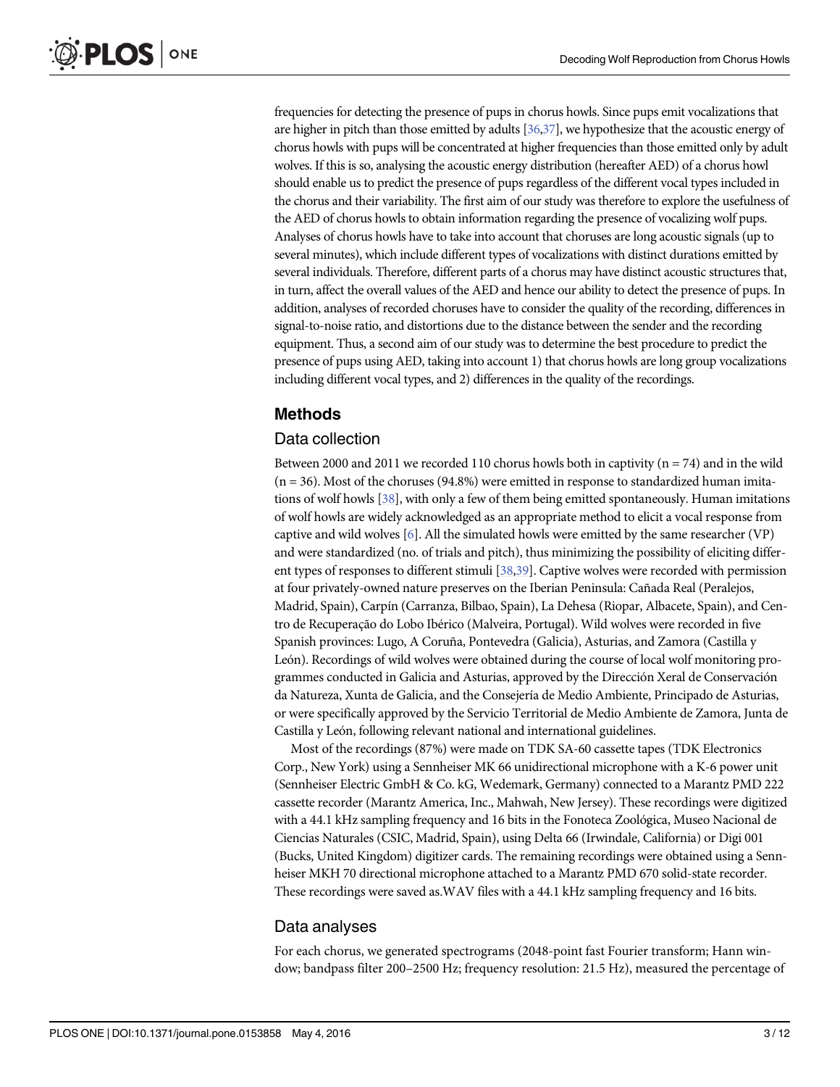<span id="page-2-0"></span>frequencies for detecting the presence of pups in chorus howls. Since pups emit vocalizations that are higher in pitch than those emitted by adults [\[36,37\]](#page-11-0), we hypothesize that the acoustic energy of chorus howls with pups will be concentrated at higher frequencies than those emitted only by adult wolves. If this is so, analysing the acoustic energy distribution (hereafter AED) of a chorus howl should enable us to predict the presence of pups regardless of the different vocal types included in the chorus and their variability. The first aim of our study was therefore to explore the usefulness of the AED of chorus howls to obtain information regarding the presence of vocalizing wolf pups. Analyses of chorus howls have to take into account that choruses are long acoustic signals (up to several minutes), which include different types of vocalizations with distinct durations emitted by several individuals. Therefore, different parts of a chorus may have distinct acoustic structures that, in turn, affect the overall values of the AED and hence our ability to detect the presence of pups. In addition, analyses of recorded choruses have to consider the quality of the recording, differences in signal-to-noise ratio, and distortions due to the distance between the sender and the recording equipment. Thus, a second aim of our study was to determine the best procedure to predict the presence of pups using AED, taking into account 1) that chorus howls are long group vocalizations including different vocal types, and 2) differences in the quality of the recordings.

#### Methods

#### Data collection

Between 2000 and 2011 we recorded 110 chorus howls both in captivity ( $n = 74$ ) and in the wild  $(n = 36)$ . Most of the choruses (94.8%) were emitted in response to standardized human imitations of wolf howls  $[38]$ , with only a few of them being emitted spontaneously. Human imitations of wolf howls are widely acknowledged as an appropriate method to elicit a vocal response from captive and wild wolves [\[6\]](#page-10-0). All the simulated howls were emitted by the same researcher (VP) and were standardized (no. of trials and pitch), thus minimizing the possibility of eliciting different types of responses to different stimuli [[38,39\]](#page-11-0). Captive wolves were recorded with permission at four privately-owned nature preserves on the Iberian Peninsula: Cañada Real (Peralejos, Madrid, Spain), Carpín (Carranza, Bilbao, Spain), La Dehesa (Riopar, Albacete, Spain), and Centro de Recuperação do Lobo Ibérico (Malveira, Portugal). Wild wolves were recorded in five Spanish provinces: Lugo, A Coruña, Pontevedra (Galicia), Asturias, and Zamora (Castilla y León). Recordings of wild wolves were obtained during the course of local wolf monitoring programmes conducted in Galicia and Asturias, approved by the Dirección Xeral de Conservación da Natureza, Xunta de Galicia, and the Consejería de Medio Ambiente, Principado de Asturias, or were specifically approved by the Servicio Territorial de Medio Ambiente de Zamora, Junta de Castilla y León, following relevant national and international guidelines.

Most of the recordings (87%) were made on TDK SA-60 cassette tapes (TDK Electronics Corp., New York) using a Sennheiser MK 66 unidirectional microphone with a K-6 power unit (Sennheiser Electric GmbH & Co. kG, Wedemark, Germany) connected to a Marantz PMD 222 cassette recorder (Marantz America, Inc., Mahwah, New Jersey). These recordings were digitized with a 44.1 kHz sampling frequency and 16 bits in the Fonoteca Zoológica, Museo Nacional de Ciencias Naturales (CSIC, Madrid, Spain), using Delta 66 (Irwindale, California) or Digi 001 (Bucks, United Kingdom) digitizer cards. The remaining recordings were obtained using a Sennheiser MKH 70 directional microphone attached to a Marantz PMD 670 solid-state recorder. These recordings were saved as.WAV files with a 44.1 kHz sampling frequency and 16 bits.

#### Data analyses

For each chorus, we generated spectrograms (2048-point fast Fourier transform; Hann window; bandpass filter 200–2500 Hz; frequency resolution: 21.5 Hz), measured the percentage of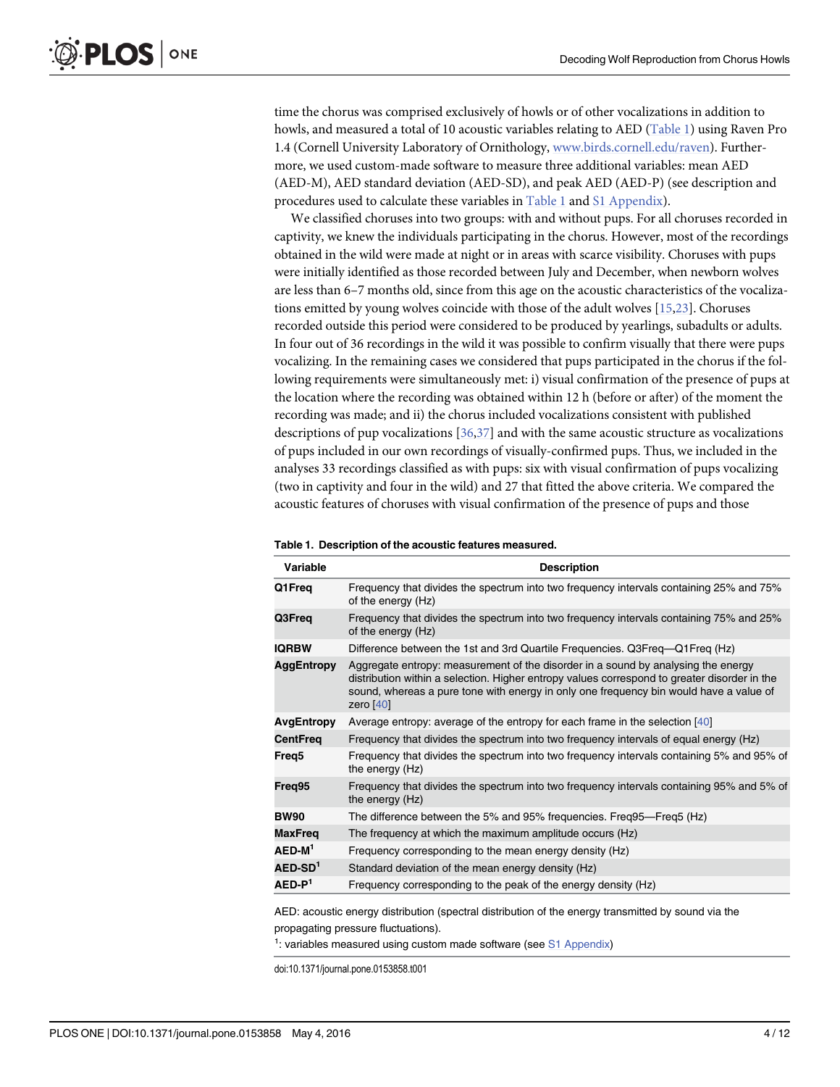<span id="page-3-0"></span>time the chorus was comprised exclusively of howls or of other vocalizations in addition to howls, and measured a total of 10 acoustic variables relating to AED (Table 1) using Raven Pro 1.4 (Cornell University Laboratory of Ornithology, [www.birds.cornell.edu/raven\)](http://www.birds.cornell.edu/raven). Furthermore, we used custom-made software to measure three additional variables: mean AED (AED-M), AED standard deviation (AED-SD), and peak AED (AED-P) (see description and procedures used to calculate these variables in Table 1 and [S1 Appendix](#page-9-0)).

We classified choruses into two groups: with and without pups. For all choruses recorded in captivity, we knew the individuals participating in the chorus. However, most of the recordings obtained in the wild were made at night or in areas with scarce visibility. Choruses with pups were initially identified as those recorded between July and December, when newborn wolves are less than 6–7 months old, since from this age on the acoustic characteristics of the vocalizations emitted by young wolves coincide with those of the adult wolves [[15,23](#page-10-0)]. Choruses recorded outside this period were considered to be produced by yearlings, subadults or adults. In four out of 36 recordings in the wild it was possible to confirm visually that there were pups vocalizing. In the remaining cases we considered that pups participated in the chorus if the following requirements were simultaneously met: i) visual confirmation of the presence of pups at the location where the recording was obtained within 12 h (before or after) of the moment the recording was made; and ii) the chorus included vocalizations consistent with published descriptions of pup vocalizations [[36,37](#page-11-0)] and with the same acoustic structure as vocalizations of pups included in our own recordings of visually-confirmed pups. Thus, we included in the analyses 33 recordings classified as with pups: six with visual confirmation of pups vocalizing (two in captivity and four in the wild) and 27 that fitted the above criteria. We compared the acoustic features of choruses with visual confirmation of the presence of pups and those

| Variable          | <b>Description</b>                                                                                                                                                                                                                                                                         |
|-------------------|--------------------------------------------------------------------------------------------------------------------------------------------------------------------------------------------------------------------------------------------------------------------------------------------|
| Q1Freq            | Frequency that divides the spectrum into two frequency intervals containing 25% and 75%<br>of the energy (Hz)                                                                                                                                                                              |
| Q3Freq            | Frequency that divides the spectrum into two frequency intervals containing 75% and 25%<br>of the energy (Hz)                                                                                                                                                                              |
| <b>IQRBW</b>      | Difference between the 1st and 3rd Quartile Frequencies. Q3Freq—Q1Freq (Hz)                                                                                                                                                                                                                |
| AggEntropy        | Aggregate entropy: measurement of the disorder in a sound by analysing the energy<br>distribution within a selection. Higher entropy values correspond to greater disorder in the<br>sound, whereas a pure tone with energy in only one frequency bin would have a value of<br>zero $[40]$ |
| AvgEntropy        | Average entropy: average of the entropy for each frame in the selection [40]                                                                                                                                                                                                               |
| <b>CentFreg</b>   | Frequency that divides the spectrum into two frequency intervals of equal energy (Hz)                                                                                                                                                                                                      |
| Freq <sub>5</sub> | Frequency that divides the spectrum into two frequency intervals containing 5% and 95% of<br>the energy (Hz)                                                                                                                                                                               |
| Freq95            | Frequency that divides the spectrum into two frequency intervals containing 95% and 5% of<br>the energy (Hz)                                                                                                                                                                               |
| <b>BW90</b>       | The difference between the 5% and 95% frequencies. Freq95—Freq5 (Hz)                                                                                                                                                                                                                       |
| <b>MaxFreq</b>    | The frequency at which the maximum amplitude occurs (Hz)                                                                                                                                                                                                                                   |
| $AED-M1$          | Frequency corresponding to the mean energy density (Hz)                                                                                                                                                                                                                                    |
| $AED-SD1$         | Standard deviation of the mean energy density (Hz)                                                                                                                                                                                                                                         |
| $AED-P1$          | Frequency corresponding to the peak of the energy density (Hz)                                                                                                                                                                                                                             |
|                   |                                                                                                                                                                                                                                                                                            |

Table 1. Description of the acoustic features measured.

AED: acoustic energy distribution (spectral distribution of the energy transmitted by sound via the propagating pressure fluctuations).

<sup>1</sup>: variables measured using custom made software (see [S1 Appendix\)](#page-9-0)

doi:10.1371/journal.pone.0153858.t001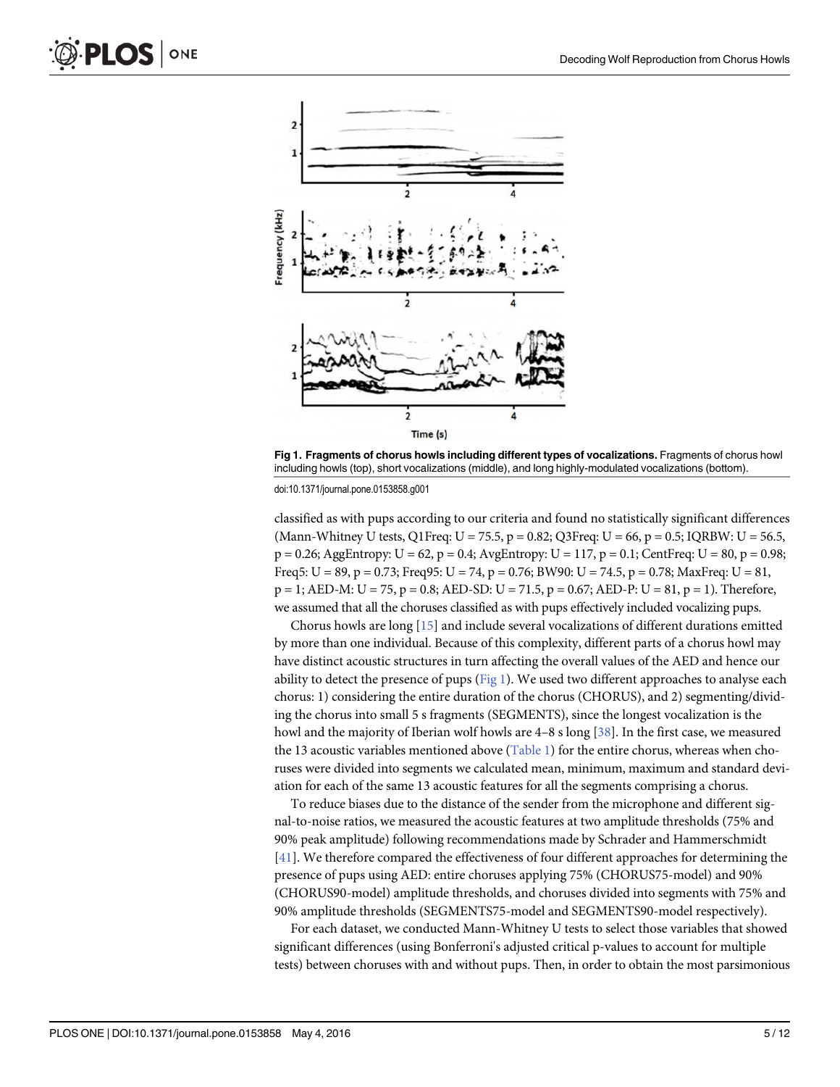<span id="page-4-0"></span>

Fig 1. Fragments of chorus howls including different types of vocalizations. Fragments of chorus howl including howls (top), short vocalizations (middle), and long highly-modulated vocalizations (bottom).

doi:10.1371/journal.pone.0153858.g001

classified as with pups according to our criteria and found no statistically significant differences (Mann-Whitney U tests, Q1Freq:  $U = 75.5$ ,  $p = 0.82$ ; Q3Freq:  $U = 66$ ,  $p = 0.5$ ; IQRBW:  $U = 56.5$ ,  $p = 0.26$ ; AggEntropy:  $U = 62$ ,  $p = 0.4$ ; AvgEntropy:  $U = 117$ ,  $p = 0.1$ ; CentFreq:  $U = 80$ ,  $p = 0.98$ ; Freq5:  $U = 89$ ,  $p = 0.73$ ; Freq95:  $U = 74$ ,  $p = 0.76$ ; BW90:  $U = 74.5$ ,  $p = 0.78$ ; MaxFreq:  $U = 81$ ,  $p = 1$ ; AED-M: U = 75, p = 0.8; AED-SD: U = 71.5, p = 0.67; AED-P: U = 81, p = 1). Therefore, we assumed that all the choruses classified as with pups effectively included vocalizing pups.

Chorus howls are long [[15](#page-10-0)] and include several vocalizations of different durations emitted by more than one individual. Because of this complexity, different parts of a chorus howl may have distinct acoustic structures in turn affecting the overall values of the AED and hence our ability to detect the presence of pups  $(Fig_1)$ . We used two different approaches to analyse each chorus: 1) considering the entire duration of the chorus (CHORUS), and 2) segmenting/dividing the chorus into small 5 s fragments (SEGMENTS), since the longest vocalization is the howl and the majority of Iberian wolf howls are 4–8 s long [[38](#page-11-0)]. In the first case, we measured the 13 acoustic variables mentioned above [\(Table 1](#page-3-0)) for the entire chorus, whereas when choruses were divided into segments we calculated mean, minimum, maximum and standard deviation for each of the same 13 acoustic features for all the segments comprising a chorus.

To reduce biases due to the distance of the sender from the microphone and different signal-to-noise ratios, we measured the acoustic features at two amplitude thresholds (75% and 90% peak amplitude) following recommendations made by Schrader and Hammerschmidt [\[41](#page-11-0)]. We therefore compared the effectiveness of four different approaches for determining the presence of pups using AED: entire choruses applying 75% (CHORUS75-model) and 90% (CHORUS90-model) amplitude thresholds, and choruses divided into segments with 75% and 90% amplitude thresholds (SEGMENTS75-model and SEGMENTS90-model respectively).

For each dataset, we conducted Mann-Whitney U tests to select those variables that showed significant differences (using Bonferroni's adjusted critical p-values to account for multiple tests) between choruses with and without pups. Then, in order to obtain the most parsimonious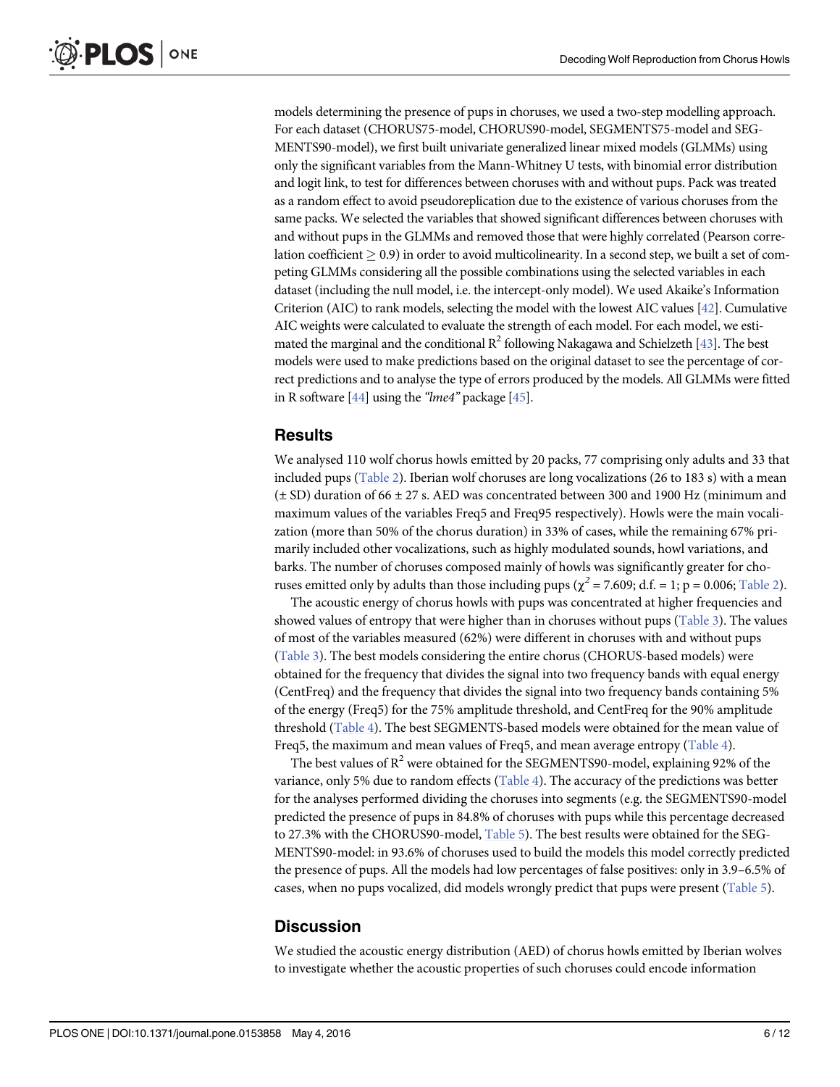<span id="page-5-0"></span>models determining the presence of pups in choruses, we used a two-step modelling approach. For each dataset (CHORUS75-model, CHORUS90-model, SEGMENTS75-model and SEG-MENTS90-model), we first built univariate generalized linear mixed models (GLMMs) using only the significant variables from the Mann-Whitney U tests, with binomial error distribution and logit link, to test for differences between choruses with and without pups. Pack was treated as a random effect to avoid pseudoreplication due to the existence of various choruses from the same packs. We selected the variables that showed significant differences between choruses with and without pups in the GLMMs and removed those that were highly correlated (Pearson correlation coefficient  $> 0.9$ ) in order to avoid multicolinearity. In a second step, we built a set of competing GLMMs considering all the possible combinations using the selected variables in each dataset (including the null model, i.e. the intercept-only model). We used Akaike's Information Criterion (AIC) to rank models, selecting the model with the lowest AIC values [\[42\]](#page-11-0). Cumulative AIC weights were calculated to evaluate the strength of each model. For each model, we estimated the marginal and the conditional  $R^2$  following Nakagawa and Schielzeth [\[43\]](#page-11-0). The best models were used to make predictions based on the original dataset to see the percentage of correct predictions and to analyse the type of errors produced by the models. All GLMMs were fitted in R software  $[44]$  $[44]$  $[44]$  using the "lme4" package  $[45]$  $[45]$  $[45]$ .

#### **Results**

We analysed 110 wolf chorus howls emitted by 20 packs, 77 comprising only adults and 33 that included pups ([Table 2\)](#page-6-0). Iberian wolf choruses are long vocalizations (26 to 183 s) with a mean  $(\pm$  SD) duration of 66  $\pm$  27 s. AED was concentrated between 300 and 1900 Hz (minimum and maximum values of the variables Freq5 and Freq95 respectively). Howls were the main vocalization (more than 50% of the chorus duration) in 33% of cases, while the remaining 67% primarily included other vocalizations, such as highly modulated sounds, howl variations, and barks. The number of choruses composed mainly of howls was significantly greater for choruses emitted only by adults than those including pups ( $\chi^2$  = 7.609; d.f. = 1; p = 0.006; <u>[Table 2](#page-6-0)</u>).

The acoustic energy of chorus howls with pups was concentrated at higher frequencies and showed values of entropy that were higher than in choruses without pups ([Table 3](#page-7-0)). The values of most of the variables measured (62%) were different in choruses with and without pups [\(Table 3\)](#page-7-0). The best models considering the entire chorus (CHORUS-based models) were obtained for the frequency that divides the signal into two frequency bands with equal energy (CentFreq) and the frequency that divides the signal into two frequency bands containing 5% of the energy (Freq5) for the 75% amplitude threshold, and CentFreq for the 90% amplitude threshold [\(Table 4\)](#page-7-0). The best SEGMENTS-based models were obtained for the mean value of Freq5, the maximum and mean values of Freq5, and mean average entropy ([Table 4\)](#page-7-0).

The best values of  $R^2$  were obtained for the SEGMENTS90-model, explaining 92% of the variance, only 5% due to random effects ([Table 4\)](#page-7-0). The accuracy of the predictions was better for the analyses performed dividing the choruses into segments (e.g. the SEGMENTS90-model predicted the presence of pups in 84.8% of choruses with pups while this percentage decreased to 27.3% with the CHORUS90-model, [Table 5\)](#page-8-0). The best results were obtained for the SEG-MENTS90-model: in 93.6% of choruses used to build the models this model correctly predicted the presence of pups. All the models had low percentages of false positives: only in 3.9–6.5% of cases, when no pups vocalized, did models wrongly predict that pups were present ([Table 5](#page-8-0)).

#### **Discussion**

We studied the acoustic energy distribution (AED) of chorus howls emitted by Iberian wolves to investigate whether the acoustic properties of such choruses could encode information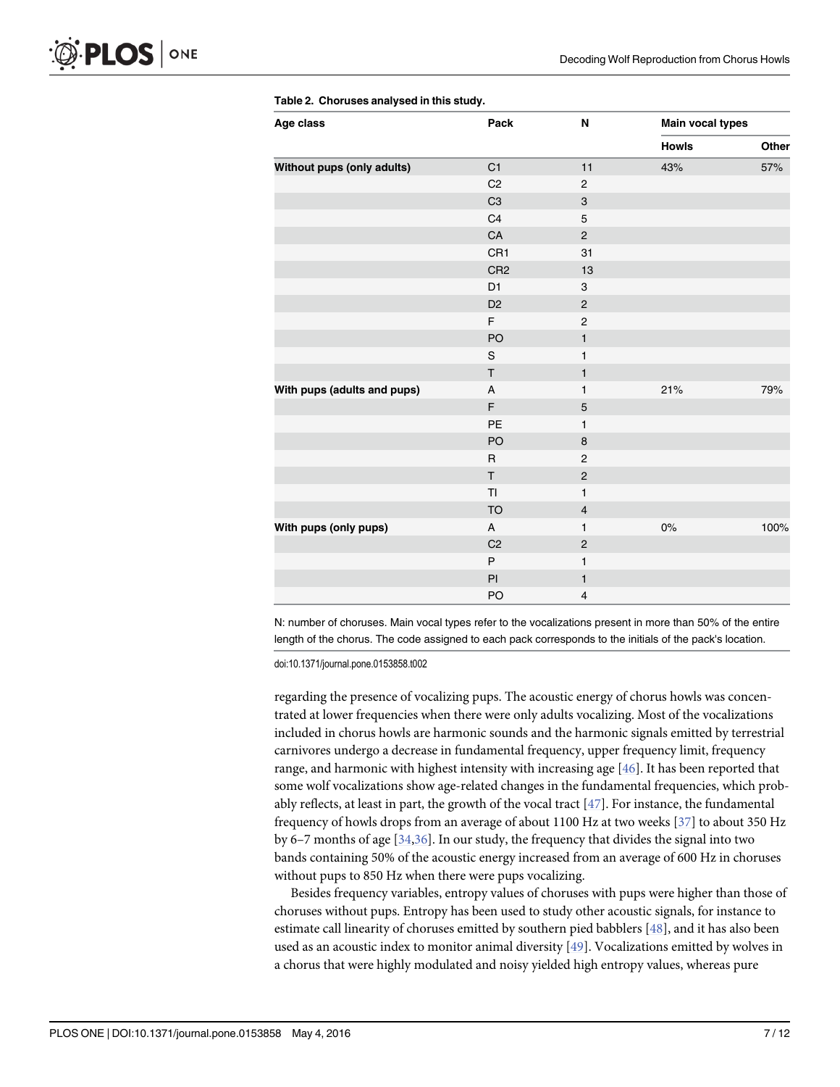| Age class                   | Pack            | N                     | <b>Main vocal types</b> |       |
|-----------------------------|-----------------|-----------------------|-------------------------|-------|
|                             |                 |                       | <b>Howls</b>            | Other |
| Without pups (only adults)  | C1              | 11                    | 43%                     | 57%   |
|                             | C <sub>2</sub>  | $\overline{c}$        |                         |       |
|                             | C <sub>3</sub>  | 3                     |                         |       |
|                             | C4              | 5                     |                         |       |
|                             | ${\sf CA}$      | $\overline{c}$        |                         |       |
|                             | CR1             | 31                    |                         |       |
|                             | CR <sub>2</sub> | 13                    |                         |       |
|                             | D <sub>1</sub>  | 3                     |                         |       |
|                             | D <sub>2</sub>  | $\mathbf{2}$          |                         |       |
|                             | F               | $\overline{c}$        |                         |       |
|                             | PO              | $\mathbf{1}$          |                         |       |
|                             | $\mathbf S$     | $\mathbf{1}$          |                         |       |
|                             | $\sf T$         | $\mathbf{1}$          |                         |       |
| With pups (adults and pups) | A               | $\mathbf{1}$          | 21%                     | 79%   |
|                             | F               | $\sqrt{5}$            |                         |       |
|                             | PE              | 1                     |                         |       |
|                             | PO              | $\bf8$                |                         |       |
|                             | $\mathsf R$     | $\overline{2}$        |                         |       |
|                             | T               | $\mathsf{2}\mathsf{}$ |                         |       |
|                             | TI              | $\mathbf{1}$          |                         |       |
|                             | <b>TO</b>       | $\overline{4}$        |                         |       |
| With pups (only pups)       | A               | $\mathbf{1}$          | 0%                      | 100%  |
|                             | C <sub>2</sub>  | $\mathbf 2$           |                         |       |
|                             | P               | $\mathbf{1}$          |                         |       |
|                             | ${\sf Pl}$      | $\mathbf{1}$          |                         |       |
|                             | PO              | 4                     |                         |       |

<span id="page-6-0"></span>[Table 2.](#page-5-0) Choruses analysed in this study.

N: number of choruses. Main vocal types refer to the vocalizations present in more than 50% of the entire length of the chorus. The code assigned to each pack corresponds to the initials of the pack's location.

doi:10.1371/journal.pone.0153858.t002

regarding the presence of vocalizing pups. The acoustic energy of chorus howls was concentrated at lower frequencies when there were only adults vocalizing. Most of the vocalizations included in chorus howls are harmonic sounds and the harmonic signals emitted by terrestrial carnivores undergo a decrease in fundamental frequency, upper frequency limit, frequency range, and harmonic with highest intensity with increasing age [[46](#page-11-0)]. It has been reported that some wolf vocalizations show age-related changes in the fundamental frequencies, which probably reflects, at least in part, the growth of the vocal tract [[47](#page-11-0)]. For instance, the fundamental frequency of howls drops from an average of about 1100 Hz at two weeks [\[37](#page-11-0)] to about 350 Hz by 6–7 months of age [\[34,36\]](#page-11-0). In our study, the frequency that divides the signal into two bands containing 50% of the acoustic energy increased from an average of 600 Hz in choruses without pups to 850 Hz when there were pups vocalizing.

Besides frequency variables, entropy values of choruses with pups were higher than those of choruses without pups. Entropy has been used to study other acoustic signals, for instance to estimate call linearity of choruses emitted by southern pied babblers [[48](#page-11-0)], and it has also been used as an acoustic index to monitor animal diversity [\[49\]](#page-11-0). Vocalizations emitted by wolves in a chorus that were highly modulated and noisy yielded high entropy values, whereas pure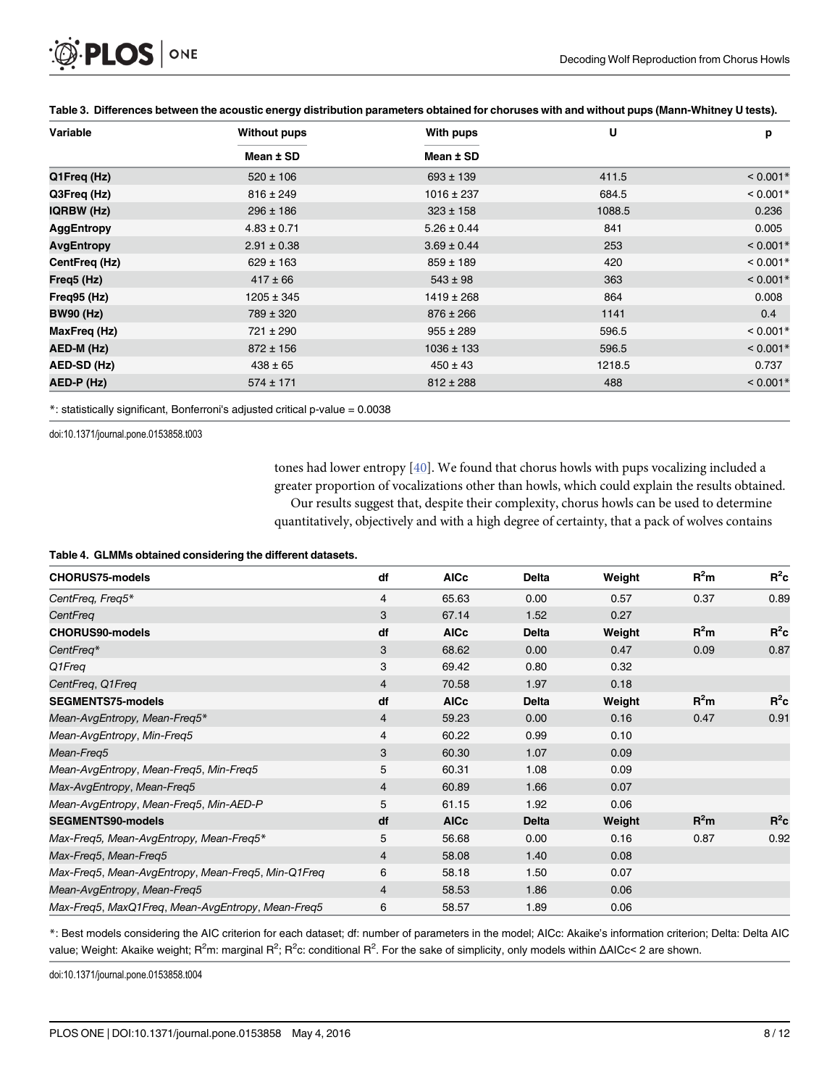<span id="page-7-0"></span>

| Variable          | <b>Without pups</b> | With pups       | U      | p          |
|-------------------|---------------------|-----------------|--------|------------|
|                   | Mean ± SD           | Mean ± SD       |        |            |
| Q1Freq (Hz)       | $520 \pm 106$       | $693 \pm 139$   | 411.5  | $< 0.001*$ |
| Q3Freq (Hz)       | $816 \pm 249$       | $1016 \pm 237$  | 684.5  | $< 0.001*$ |
| <b>IQRBW (Hz)</b> | $296 \pm 186$       | $323 \pm 158$   | 1088.5 | 0.236      |
| <b>AggEntropy</b> | $4.83 \pm 0.71$     | $5.26 \pm 0.44$ | 841    | 0.005      |
| <b>AvgEntropy</b> | $2.91 \pm 0.38$     | $3.69 \pm 0.44$ | 253    | $< 0.001*$ |
| CentFreq (Hz)     | $629 \pm 163$       | $859 \pm 189$   | 420    | $< 0.001*$ |
| Freq5 (Hz)        | $417 \pm 66$        | $543 \pm 98$    | 363    | $< 0.001*$ |
| Freq95 (Hz)       | $1205 \pm 345$      | $1419 \pm 268$  | 864    | 0.008      |
| <b>BW90 (Hz)</b>  | 789 ± 320           | $876 \pm 266$   | 1141   | 0.4        |
| MaxFreq (Hz)      | $721 \pm 290$       | $955 \pm 289$   | 596.5  | $< 0.001*$ |
| AED-M (Hz)        | $872 \pm 156$       | $1036 \pm 133$  | 596.5  | $< 0.001*$ |
| AED-SD (Hz)       | $438 \pm 65$        | $450 \pm 43$    | 1218.5 | 0.737      |
| AED-P (Hz)        | $574 \pm 171$       | $812 \pm 288$   | 488    | $< 0.001*$ |

[Table 3.](#page-5-0) Differences between the acoustic energy distribution parameters obtained for choruses with and without pups (Mann-Whitney U tests).

\*: statistically significant, Bonferroni's adjusted critical p-value = 0.0038

doi:10.1371/journal.pone.0153858.t003

tones had lower entropy [[40](#page-11-0)]. We found that chorus howls with pups vocalizing included a greater proportion of vocalizations other than howls, which could explain the results obtained. Our results suggest that, despite their complexity, chorus howls can be used to determine quantitatively, objectively and with a high degree of certainty, that a pack of wolves contains

#### [Table 4.](#page-5-0) GLMMs obtained considering the different datasets.

| <b>CHORUS75-models</b>                             | df             | <b>AICc</b> | <b>Delta</b> | Weight | $R^2m$ | $R^2c$ |
|----------------------------------------------------|----------------|-------------|--------------|--------|--------|--------|
| CentFreq, Freq5*                                   | 4              | 65.63       | 0.00         | 0.57   | 0.37   | 0.89   |
| CentFreq                                           | 3              | 67.14       | 1.52         | 0.27   |        |        |
| <b>CHORUS90-models</b>                             | df             | <b>AICc</b> | <b>Delta</b> | Weight | $R^2m$ | $R^2c$ |
| CentFreq*                                          | 3              | 68.62       | 0.00         | 0.47   | 0.09   | 0.87   |
| Q1Freq                                             | 3              | 69.42       | 0.80         | 0.32   |        |        |
| CentFreq, Q1Freq                                   | $\overline{4}$ | 70.58       | 1.97         | 0.18   |        |        |
| <b>SEGMENTS75-models</b>                           | df             | <b>AICc</b> | <b>Delta</b> | Weight | $R^2m$ | $R^2c$ |
| Mean-AvgEntropy, Mean-Freq5*                       | $\overline{4}$ | 59.23       | 0.00         | 0.16   | 0.47   | 0.91   |
| Mean-AvgEntropy, Min-Freq5                         | $\overline{4}$ | 60.22       | 0.99         | 0.10   |        |        |
| Mean-Freq5                                         | 3              | 60.30       | 1.07         | 0.09   |        |        |
| Mean-AvgEntropy, Mean-Freq5, Min-Freq5             | 5              | 60.31       | 1.08         | 0.09   |        |        |
| Max-AvgEntropy, Mean-Freq5                         | $\overline{4}$ | 60.89       | 1.66         | 0.07   |        |        |
| Mean-AvgEntropy, Mean-Freq5, Min-AED-P             | 5              | 61.15       | 1.92         | 0.06   |        |        |
| <b>SEGMENTS90-models</b>                           | df             | <b>AICc</b> | <b>Delta</b> | Weight | $R^2m$ | $R^2c$ |
| Max-Freq5, Mean-AvgEntropy, Mean-Freq5*            | 5              | 56.68       | 0.00         | 0.16   | 0.87   | 0.92   |
| Max-Freg5, Mean-Freg5                              | $\overline{4}$ | 58.08       | 1.40         | 0.08   |        |        |
| Max-Freq5, Mean-AvgEntropy, Mean-Freq5, Min-Q1Freq | 6              | 58.18       | 1.50         | 0.07   |        |        |
| Mean-AvgEntropy, Mean-Freq5                        | $\overline{4}$ | 58.53       | 1.86         | 0.06   |        |        |
| Max-Freg5, MaxQ1Freg, Mean-AvgEntropy, Mean-Freg5  | 6              | 58.57       | 1.89         | 0.06   |        |        |

\*: Best models considering the AIC criterion for each dataset; df: number of parameters in the model; AICc: Akaike's information criterion; Delta: Delta AIC value; Weight: Akaike weight; R<sup>2</sup>m: marginal R<sup>2</sup>; R<sup>2</sup>c: conditional R<sup>2</sup>. For the sake of simplicity, only models within ΔAICc< 2 are shown.

doi:10.1371/journal.pone.0153858.t004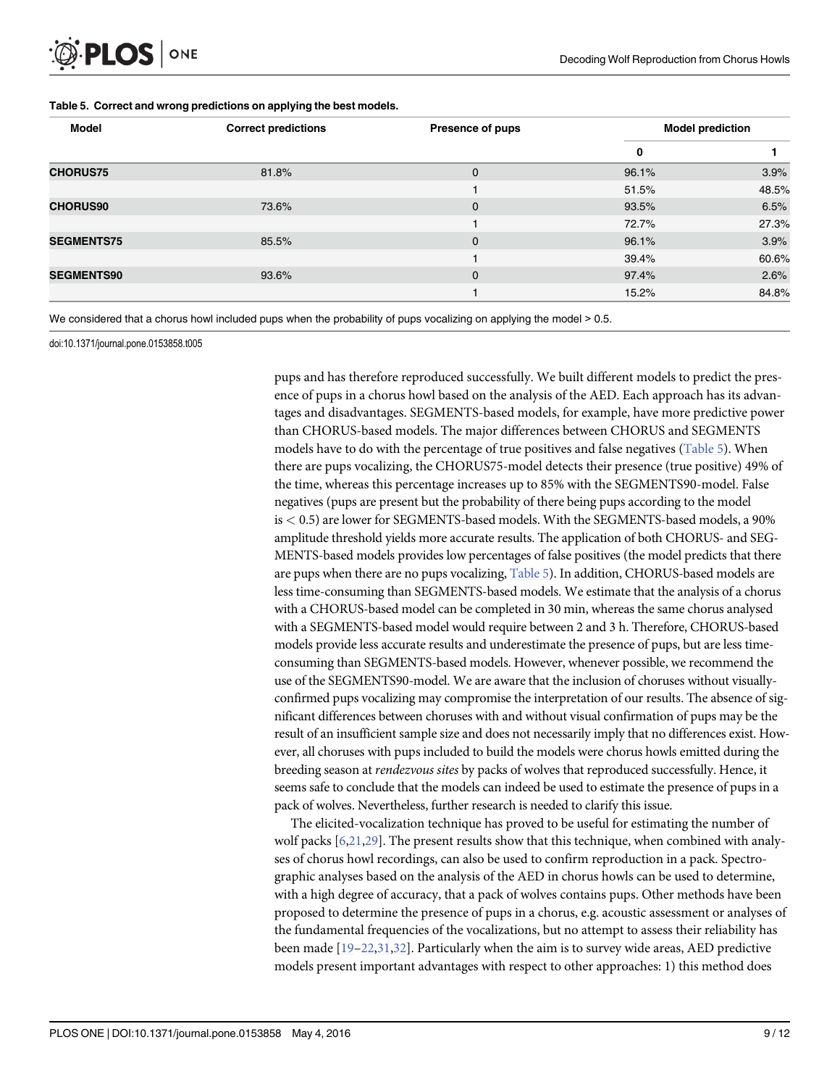# <span id="page-8-0"></span>PLOS ONE

|  |  |  | Table 5. Correct and wrong predictions on applying the best models. |  |
|--|--|--|---------------------------------------------------------------------|--|
|--|--|--|---------------------------------------------------------------------|--|

| <b>Model</b>      | <b>Correct predictions</b> | <b>Presence of pups</b> | <b>Model prediction</b> |       |
|-------------------|----------------------------|-------------------------|-------------------------|-------|
|                   |                            |                         | 0                       |       |
| <b>CHORUS75</b>   | 81.8%                      | 0                       | 96.1%                   | 3.9%  |
|                   |                            |                         | 51.5%                   | 48.5% |
| <b>CHORUS90</b>   | 73.6%                      | $\mathbf{0}$            | 93.5%                   | 6.5%  |
|                   |                            |                         | 72.7%                   | 27.3% |
| <b>SEGMENTS75</b> | 85.5%                      | $\mathbf 0$             | 96.1%                   | 3.9%  |
|                   |                            |                         | 39.4%                   | 60.6% |
| <b>SEGMENTS90</b> | 93.6%                      | $\Omega$                | 97.4%                   | 2.6%  |
|                   |                            |                         | 15.2%                   | 84.8% |

We considered that a chorus howl included pups when the probability of pups vocalizing on applying the model > 0.5.

doi:10.1371/journal.pone.0153858.t005

pups and has therefore reproduced successfully. We built different models to predict the presence of pups in a chorus howl based on the analysis of the AED. Each approach has its advantages and disadvantages. SEGMENTS-based models, for example, have more predictive power than CHORUS-based models. The major differences between CHORUS and SEGMENTS models have to do with the percentage of true positives and false negatives (Table 5). When there are pups vocalizing, the CHORUS75-model detects their presence (true positive) 49% of the time, whereas this percentage increases up to 85% with the SEGMENTS90-model. False negatives (pups are present but the probability of there being pups according to the model is < 0.5) are lower for SEGMENTS-based models. With the SEGMENTS-based models, a 90% amplitude threshold yields more accurate results. The application of both CHORUS- and SEG-MENTS-based models provides low percentages of false positives (the model predicts that there are pups when there are no pups vocalizing, Table 5). In addition, CHORUS-based models are less time-consuming than SEGMENTS-based models. We estimate that the analysis of a chorus with a CHORUS-based model can be completed in 30 min, whereas the same chorus analysed with a SEGMENTS-based model would require between 2 and 3 h. Therefore, CHORUS-based models provide less accurate results and underestimate the presence of pups, but are less timeconsuming than SEGMENTS-based models. However, whenever possible, we recommend the use of the SEGMENTS90-model. We are aware that the inclusion of choruses without visuallyconfirmed pups vocalizing may compromise the interpretation of our results. The absence of significant differences between choruses with and without visual confirmation of pups may be the result of an insufficient sample size and does not necessarily imply that no differences exist. However, all choruses with pups included to build the models were chorus howls emitted during the breeding season at rendezvous sites by packs of wolves that reproduced successfully. Hence, it seems safe to conclude that the models can indeed be used to estimate the presence of pups in a pack of wolves. Nevertheless, further research is needed to clarify this issue.

The elicited-vocalization technique has proved to be useful for estimating the number of wolf packs [\[6,21](#page-10-0)[,29\]](#page-11-0). The present results show that this technique, when combined with analyses of chorus howl recordings, can also be used to confirm reproduction in a pack. Spectrographic analyses based on the analysis of the AED in chorus howls can be used to determine, with a high degree of accuracy, that a pack of wolves contains pups. Other methods have been proposed to determine the presence of pups in a chorus, e.g. acoustic assessment or analyses of the fundamental frequencies of the vocalizations, but no attempt to assess their reliability has been made  $[19-22,31,32]$  $[19-22,31,32]$  $[19-22,31,32]$  $[19-22,31,32]$  $[19-22,31,32]$ . Particularly when the aim is to survey wide areas, AED predictive models present important advantages with respect to other approaches: 1) this method does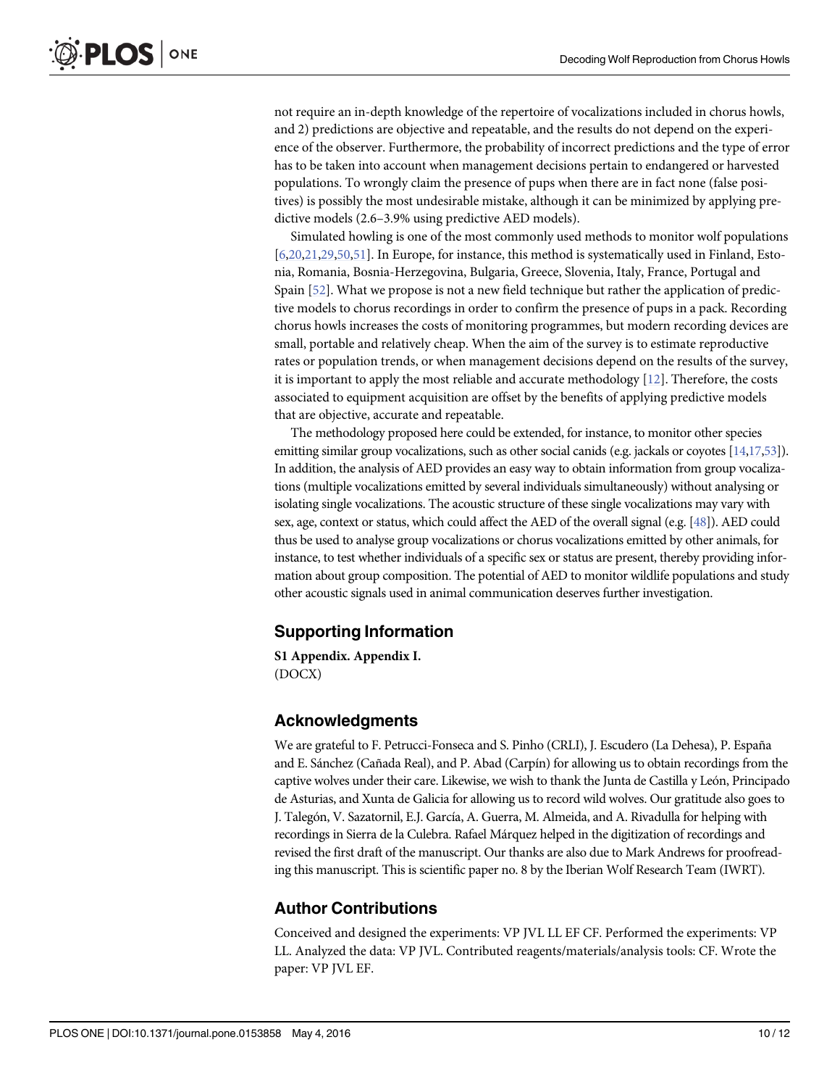<span id="page-9-0"></span>not require an in-depth knowledge of the repertoire of vocalizations included in chorus howls, and 2) predictions are objective and repeatable, and the results do not depend on the experience of the observer. Furthermore, the probability of incorrect predictions and the type of error has to be taken into account when management decisions pertain to endangered or harvested populations. To wrongly claim the presence of pups when there are in fact none (false positives) is possibly the most undesirable mistake, although it can be minimized by applying predictive models (2.6–3.9% using predictive AED models).

Simulated howling is one of the most commonly used methods to monitor wolf populations [\[6,20,21,](#page-10-0)[29,50](#page-11-0),[51](#page-11-0)]. In Europe, for instance, this method is systematically used in Finland, Estonia, Romania, Bosnia-Herzegovina, Bulgaria, Greece, Slovenia, Italy, France, Portugal and Spain [[52\]](#page-11-0). What we propose is not a new field technique but rather the application of predictive models to chorus recordings in order to confirm the presence of pups in a pack. Recording chorus howls increases the costs of monitoring programmes, but modern recording devices are small, portable and relatively cheap. When the aim of the survey is to estimate reproductive rates or population trends, or when management decisions depend on the results of the survey, it is important to apply the most reliable and accurate methodology  $[12]$  $[12]$ . Therefore, the costs associated to equipment acquisition are offset by the benefits of applying predictive models that are objective, accurate and repeatable.

The methodology proposed here could be extended, for instance, to monitor other species emitting similar group vocalizations, such as other social canids (e.g. jackals or coyotes [[14,17](#page-10-0)[,53](#page-11-0)]). In addition, the analysis of AED provides an easy way to obtain information from group vocalizations (multiple vocalizations emitted by several individuals simultaneously) without analysing or isolating single vocalizations. The acoustic structure of these single vocalizations may vary with sex, age, context or status, which could affect the AED of the overall signal (e.g. [[48](#page-11-0)]). AED could thus be used to analyse group vocalizations or chorus vocalizations emitted by other animals, for instance, to test whether individuals of a specific sex or status are present, thereby providing information about group composition. The potential of AED to monitor wildlife populations and study other acoustic signals used in animal communication deserves further investigation.

#### Supporting Information

[S1 Appendix.](http://www.plosone.org/article/fetchSingleRepresentation.action?uri=info:doi/10.1371/journal.pone.0153858.s001) Appendix I. (DOCX)

#### Acknowledgments

We are grateful to F. Petrucci-Fonseca and S. Pinho (CRLI), J. Escudero (La Dehesa), P. España and E. Sánchez (Cañada Real), and P. Abad (Carpín) for allowing us to obtain recordings from the captive wolves under their care. Likewise, we wish to thank the Junta de Castilla y León, Principado de Asturias, and Xunta de Galicia for allowing us to record wild wolves. Our gratitude also goes to J. Talegón, V. Sazatornil, E.J. García, A. Guerra, M. Almeida, and A. Rivadulla for helping with recordings in Sierra de la Culebra. Rafael Márquez helped in the digitization of recordings and revised the first draft of the manuscript. Our thanks are also due to Mark Andrews for proofreading this manuscript. This is scientific paper no. 8 by the Iberian Wolf Research Team (IWRT).

#### Author Contributions

Conceived and designed the experiments: VP JVL LL EF CF. Performed the experiments: VP LL. Analyzed the data: VP JVL. Contributed reagents/materials/analysis tools: CF. Wrote the paper: VP JVL EF.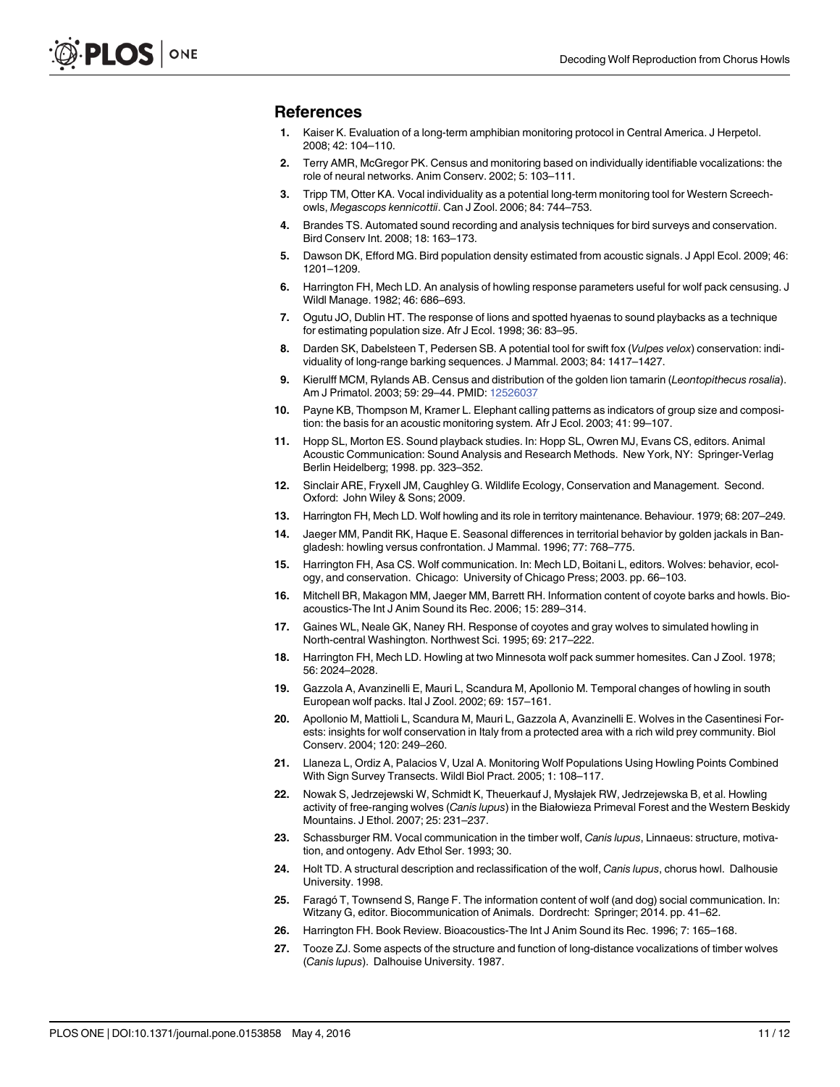#### <span id="page-10-0"></span>References

- [1.](#page-1-0) Kaiser K. Evaluation of a long-term amphibian monitoring protocol in Central America. J Herpetol. 2008; 42: 104–110.
- [2.](#page-1-0) Terry AMR, McGregor PK. Census and monitoring based on individually identifiable vocalizations: the role of neural networks. Anim Conserv. 2002; 5: 103–111.
- 3. Tripp TM, Otter KA. Vocal individuality as a potential long-term monitoring tool for Western Screechowls, Megascops kennicottii. Can J Zool. 2006; 84: 744–753.
- 4. Brandes TS. Automated sound recording and analysis techniques for bird surveys and conservation. Bird Conserv Int. 2008; 18: 163–173.
- [5.](#page-1-0) Dawson DK, Efford MG. Bird population density estimated from acoustic signals. J Appl Ecol. 2009; 46: 1201–1209.
- [6.](#page-1-0) Harrington FH, Mech LD. An analysis of howling response parameters useful for wolf pack censusing. J Wildl Manage. 1982; 46: 686–693.
- 7. Ogutu JO, Dublin HT. The response of lions and spotted hyaenas to sound playbacks as a technique for estimating population size. Afr J Ecol. 1998; 36: 83–95.
- 8. Darden SK, Dabelsteen T, Pedersen SB. A potential tool for swift fox (Vulpes velox) conservation: individuality of long-range barking sequences. J Mammal. 2003; 84: 1417–1427.
- 9. Kierulff MCM, Rylands AB. Census and distribution of the golden lion tamarin (Leontopithecus rosalia). Am J Primatol. 2003; 59: 29–44. PMID: [12526037](http://www.ncbi.nlm.nih.gov/pubmed/12526037)
- [10.](#page-1-0) Payne KB, Thompson M, Kramer L. Elephant calling patterns as indicators of group size and composition: the basis for an acoustic monitoring system. Afr J Ecol. 2003; 41: 99–107.
- [11.](#page-1-0) Hopp SL, Morton ES. Sound playback studies. In: Hopp SL, Owren MJ, Evans CS, editors. Animal Acoustic Communication: Sound Analysis and Research Methods. New York, NY: Springer-Verlag Berlin Heidelberg; 1998. pp. 323–352.
- [12.](#page-1-0) Sinclair ARE, Fryxell JM, Caughley G. Wildlife Ecology, Conservation and Management. Second. Oxford: John Wiley & Sons; 2009.
- [13.](#page-1-0) Harrington FH, Mech LD. Wolf howling and its role in territory maintenance. Behaviour. 1979; 68: 207–249.
- [14.](#page-1-0) Jaeger MM, Pandit RK, Haque E. Seasonal differences in territorial behavior by golden jackals in Bangladesh: howling versus confrontation. J Mammal. 1996; 77: 768–775.
- [15.](#page-1-0) Harrington FH, Asa CS. Wolf communication. In: Mech LD, Boitani L, editors. Wolves: behavior, ecology, and conservation. Chicago: University of Chicago Press; 2003. pp. 66–103.
- [16.](#page-1-0) Mitchell BR, Makagon MM, Jaeger MM, Barrett RH. Information content of coyote barks and howls. Bioacoustics-The Int J Anim Sound its Rec. 2006; 15: 289–314.
- [17.](#page-1-0) Gaines WL, Neale GK, Naney RH. Response of coyotes and gray wolves to simulated howling in North-central Washington. Northwest Sci. 1995; 69: 217–222.
- 18. Harrington FH, Mech LD. Howling at two Minnesota wolf pack summer homesites. Can J Zool. 1978; 56: 2024–2028.
- [19.](#page-1-0) Gazzola A, Avanzinelli E, Mauri L, Scandura M, Apollonio M. Temporal changes of howling in south European wolf packs. Ital J Zool. 2002; 69: 157–161.
- [20.](#page-1-0) Apollonio M, Mattioli L, Scandura M, Mauri L, Gazzola A, Avanzinelli E. Wolves in the Casentinesi Forests: insights for wolf conservation in Italy from a protected area with a rich wild prey community. Biol Conserv. 2004; 120: 249–260.
- [21.](#page-1-0) Llaneza L, Ordiz A, Palacios V, Uzal A. Monitoring Wolf Populations Using Howling Points Combined With Sign Survey Transects. Wildl Biol Pract. 2005; 1: 108–117.
- [22.](#page-1-0) Nowak S, Jedrzejewski W, Schmidt K, Theuerkauf J, Mysłajek RW, Jedrzejewska B, et al. Howling activity of free-ranging wolves (Canis lupus) in the Białowieza Primeval Forest and the Western Beskidy Mountains. J Ethol. 2007; 25: 231–237.
- [23.](#page-1-0) Schassburger RM. Vocal communication in the timber wolf, Canis lupus, Linnaeus: structure, motivation, and ontogeny. Adv Ethol Ser. 1993; 30.
- [24.](#page-1-0) Holt TD. A structural description and reclassification of the wolf, Canis lupus, chorus howl. Dalhousie University. 1998.
- 25. Faragó T, Townsend S, Range F. The information content of wolf (and dog) social communication. In: Witzany G, editor. Biocommunication of Animals. Dordrecht: Springer; 2014. pp. 41–62.
- [26.](#page-1-0) Harrington FH. Book Review. Bioacoustics-The Int J Anim Sound its Rec. 1996; 7: 165–168.
- [27.](#page-1-0) Tooze ZJ. Some aspects of the structure and function of long-distance vocalizations of timber wolves (Canis lupus). Dalhouise University. 1987.